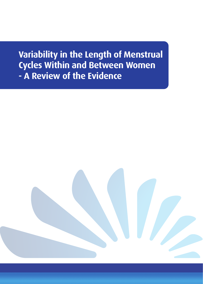**Variability in the Length of Menstrual Cycles Within and Between Women - A Review of the Evidence**

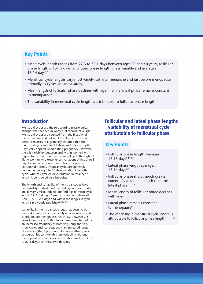### **Key Points**

- Mean cycle length ranges from 27.3 to 30.1 days between ages 20 and 40 years, follicular phase length is 13-15 days, and luteal phase length is less variable and averages  $13-14$  days<sup>1-3</sup>
- Menstrual cycle lengths vary most widely just after menarche and just before menopause primarily as cycles are anovulatory 1
- Mean length of follicular phase declines with age<sup>3,11</sup> while luteal phase remains constant to menopause<sup>8</sup>
- The variability in menstrual cycle length is attributable to follicular phase length $1,11$

### **Introduction**

Menstrual cycles are the re-occurring physiological changes that happen in women of reproductive age. Menstrual cycles are counted from the first day of menstrual flow and last until the day before the next onset of menses. It is generally assumed that the menstrual cycle lasts for 28 days, and this assumption is typically applied when dating pregnancy. However, there is variability between and within women with regard to the length of the menstrual cycle throughout life. A woman who experiences variations of less than 8 days between her longest and shortest cycle is considered normal. Irregular cycles are generally defined as having 8 to 20 days variation in length of cycle, whereas over 21 days variation in total cycle length is considered very irregular.

The length and variability of menstrual cycles have been widely studied, and the findings of these studies are all very similar. Indeed, our findings of mean cycle length 27.7 $\pm$ 3.4 days<sup>12</sup> are consistent with those of Cole<sup>11</sup>, 27.7 $\pm$ 2.4 days and within the ranges in cycle lengths previously published<sup>2,3,9,13-15</sup>.

Variability in menstrual cycle length appears to be greatest at intervals immediately after menarche and shortly before menopause, which last between 2-5 years in each case. Both intervals are characterised by an increased frequency of both very long and very short cycles and, consequently, an increased range of cycle lengths. Cycle length between 20-40 years of age exhibit considerably less variability, although the population mean cycle length shortens from 30.1 to 27.3 days over these two decades<sup>1</sup>.

# **Follicular and luteal phase lengths – variability of menstrual cycle attributable to follicular phase**

#### **Key Points**

- Follicular phase length averages 13-15 days<sup>1,11,12</sup>
- Luteal phase length averages  $13-14$  days<sup>1-3</sup>
- Follicular phase shows much greater extent of variation in length than the luteal phase<sup>1,11,12</sup>
- Mean length of follicular phase declines with  $aqe<sup>3</sup>$
- Luteal phase remains constant to menopause<sup>8</sup>
- The variability in menstrual cycle length is attributable to follicular phase length  $1,11,12$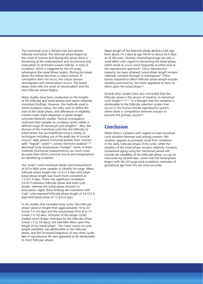The menstrual cycle is divided into two phases, follicular and luteal. The follicular phase begins at the onset of menses and during this phase there is thickening of the endometrium and recruitment and maturation of dominant ovarian follicles. It ends at ovulation, which is triggered by the LH surge, whereupon the luteal phase begins. During the luteal phase the follicle becomes a corpus luteum. If conception does not occur, the corpus luteum disintegrates and menstruation occurs. The luteal phase ends with the onset of menstruation and the next follicular phase begins.

Many studies have been conducted on the lengths of the follicular and luteal phases and report relatively consistent findings. However, the methods used to assess ovulatory status, the rules used to define the start of the luteal phase, and differences in eligibility criteria create slight disparities in phase length estimates between studies. Several investigators restricted their samples to ovulatory cycles within a defined range of menstrual cycle lengths2,3. Also, the division of the menstrual cycle into the follicular or luteal phase was accomplished using a variety of techniques including use of the peak day of cervical mucus4, daily plasma hormonal profiles from women with "regular" cycles<sup>2,3</sup>, urinary hormone analysis<sup>11,12</sup> and basal body temperature changes<sup>5</sup>. Some of these methods (hormonal measurements) are much more accurate than others (cervical mucus and temperature) for identifying ovulation.

Our study<sup>12</sup> used menstrual diaries and measurement of LH in daily urine samples to identify LH surge. Mean follicular phase length was 14.5±3.4 days and mean luteal phase length was much more consistent at 13.2±1.9 days. There was significant correlation (r2=0.7) between follicular phase and total cycle length, whereas the luteal phase showed no association. Again these findings are consistent with Cole11 who reported follicular phase length of 14.7±2.4 days and luteal phase of 13.2±2.0 days.

In the studies that excluded long cycles, the follicular phase varied in length from approximately 10 to 23 (mean 13-15) days and the luteal phase from 8 to 17 (mean 13-14) days. Inclusion of the longer cycles yielded much longer estimates for the follicular phase (mean 17 to 18 days), but had little effect upon the length of the luteal phase<sup>1</sup>. The major source of cycle length variability was attributable to the follicular phase, and the increased frequency of very short cycles late in reproductive life also appeared to be attributable to short follicular phases.

Mean length of the follicular phase declines with age, from about 14.2 days at age 18-24 to about 10.4 days at 45-60 years, whereas chronological age has only a small effect with regard to shortening the luteal phase, which tends to occur more frequently at either end of the reproductive spectrum3. Once reproductive maturity has been attained, luteal phase length remains relatively constant through to menopause<sup>8</sup>. Other factors reported to affect follicular phase length include smoking and exercise, but these appeared to have no effect upon the luteal phase<sup>10</sup>.

Several other studies have also concluded that the follicular phase is the source of variation in menstrual cycle length2,3,9,16,17. It is thought that this variation is attributable to the follicular selection system that occurs in the human female reproductive system, where there is competition between oocytes to become the primary oocyte<sup>18</sup>.

## **Conclusion**

While there is variation with regard to total menstrual cycle duration between and among women, this variation appears to primarily result from variations in the early, follicular phase of the cycle, while the duration of the luteal phase remains relatively constant. Gestational aging using last menstrual period will include the variability of the follicular phase, so can be inaccurate by several days. Given that the luteal phase begins with the LH surge (and ovulation), estimates of gestational age from this are more accurate.